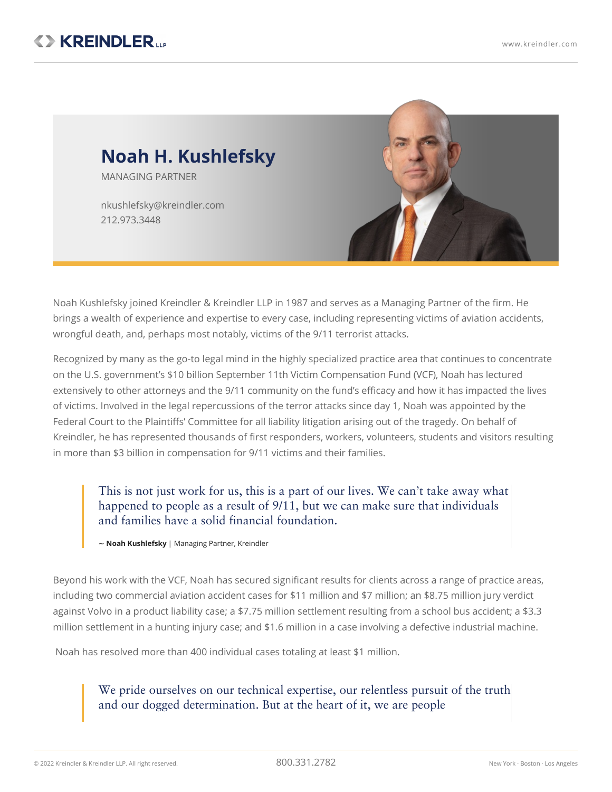

Noah Kushlefsky joined Kreindler & Kreindler LLP in 1987 and serves as a Managing Partner of the firm. He brings a wealth of experience and expertise to every case, including representing victims of aviation accidents, wrongful death, and, perhaps most notably, victims of the 9/11 terrorist attacks.

Recognized by many as the go-to legal mind in the highly specialized practice area that continues to concentrate on the U.S. government's \$10 billion September 11th Victim Compensation Fund (VCF), Noah has lectured extensively to other attorneys and the 9/11 community on the fund's efficacy and how it has impacted the lives of victims. Involved in the legal repercussions of the terror attacks since day 1, Noah was appointed by the Federal Court to the Plaintiffs' Committee for all liability litigation arising out of the tragedy. On behalf of Kreindler, he has represented thousands of first responders, workers, volunteers, students and visitors resulting in more than \$3 billion in compensation for 9/11 victims and their families.

This is not just work for us, this is a part of our lives. We can't take away what happened to people as a result of 9/11, but we can make sure that individuals and families have a solid financial foundation.

~ **Noah Kushlefsky** | Managing Partner, Kreindler

Beyond his work with the VCF, Noah has secured significant results for clients across a range of practice areas, including two commercial aviation accident cases for \$11 million and \$7 million; an \$8.75 million jury verdict against Volvo in a product liability case; a \$7.75 million settlement resulting from a school bus accident; a \$3.3 million settlement in a hunting injury case; and \$1.6 million in a case involving a defective industrial machine.

Noah has resolved more than 400 individual cases totaling at least \$1 million.

We pride ourselves on our technical expertise, our relentless pursuit of the truth and our dogged determination. But at the heart of it, we are people